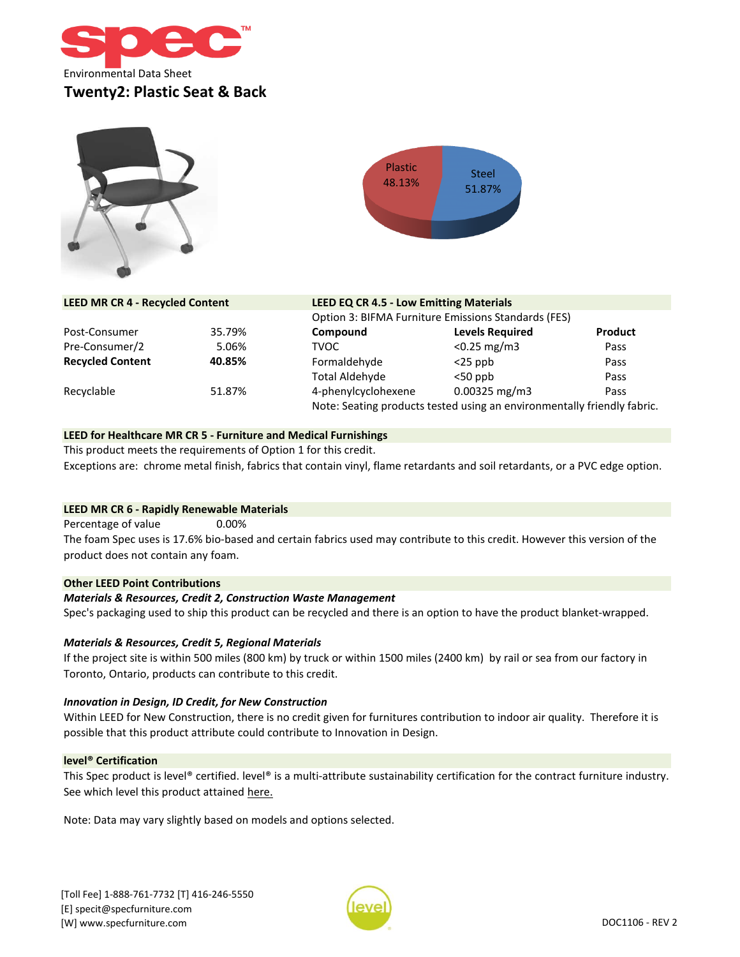





| <b>LEED MR CR 4 - Recycled Content</b> |        | <b>LEED EQ CR 4.5 - Low Emitting Materials</b>                          |                        |                |
|----------------------------------------|--------|-------------------------------------------------------------------------|------------------------|----------------|
|                                        |        | Option 3: BIFMA Furniture Emissions Standards (FES)                     |                        |                |
| Post-Consumer                          | 35.79% | Compound                                                                | <b>Levels Required</b> | <b>Product</b> |
| Pre-Consumer/2                         | 5.06%  | <b>TVOC</b>                                                             | $< 0.25$ mg/m3         | Pass           |
| <b>Recycled Content</b>                | 40.85% | Formaldehyde                                                            | $<$ 25 ppb             | Pass           |
|                                        |        | Total Aldehyde                                                          | $<$ 50 ppb             | Pass           |
| Recyclable                             | 51.87% | 4-phenylcyclohexene                                                     | $0.00325$ mg/m3        | Pass           |
|                                        |        | Note: Seating products tested using an environmentally friendly fabric. |                        |                |

#### **LEED for Healthcare MR CR 5 - Furniture and Medical Furnishings**

This product meets the requirements of Option 1 for this credit. Exceptions are: chrome metal finish, fabrics that contain vinyl, flame retardants and soil retardants, or a PVC edge option.

#### **LEED MR CR 6 - Rapidly Renewable Materials**

0.00% Percentage of value The foam Spec uses is 17.6% bio-based and certain fabrics used may contribute to this credit. However this version of the product does not contain any foam.

## **Other LEED Point Contributions**

#### *Materials & Resources, Credit 2, Construction Waste Management*

Spec's packaging used to ship this product can be recycled and there is an option to have the product blanket-wrapped.

#### *Materials & Resources, Credit 5, Regional Materials*

If the project site is within 500 miles (800 km) by truck or within 1500 miles (2400 km) by rail or sea from our factory in Toronto, Ontario, products can contribute to this credit.

#### *Innovation in Design, ID Credit, for New Construction*

Within LEED for New Construction, there is no credit given for furnitures contribution to indoor air quality. Therefore it is possible that this product attribute could contribute to Innovation in Design.

#### **level® Certification**

[This](https://level.ecomedes.com/?level-level=3&query=Spec%20Furniture&brand-name=Spec%2520Furniture) [Spec](https://level.ecomedes.com/?level-level=3&query=Spec%20Furniture&brand-name=Spec%2520Furniture) [product](https://level.ecomedes.com/?level-level=3&query=Spec%20Furniture&brand-name=Spec%2520Furniture) is [level®](https://level.ecomedes.com/?level-level=3&query=Spec%20Furniture&brand-name=Spec%2520Furniture) [certified.](https://level.ecomedes.com/?level-level=3&query=Spec%20Furniture&brand-name=Spec%2520Furniture) level® is a [multi-attribute](https://level.ecomedes.com/?level-level=3&query=Spec%20Furniture&brand-name=Spec%2520Furniture) sustainability certification for the contract furniture industry. [See which level this product attained h](https://level.ecomedes.com/?level-level=3&query=Spec%20Furniture&brand-name=Spec%2520Furniture)ere.

Note: Data may vary slightly based on models and options selected.

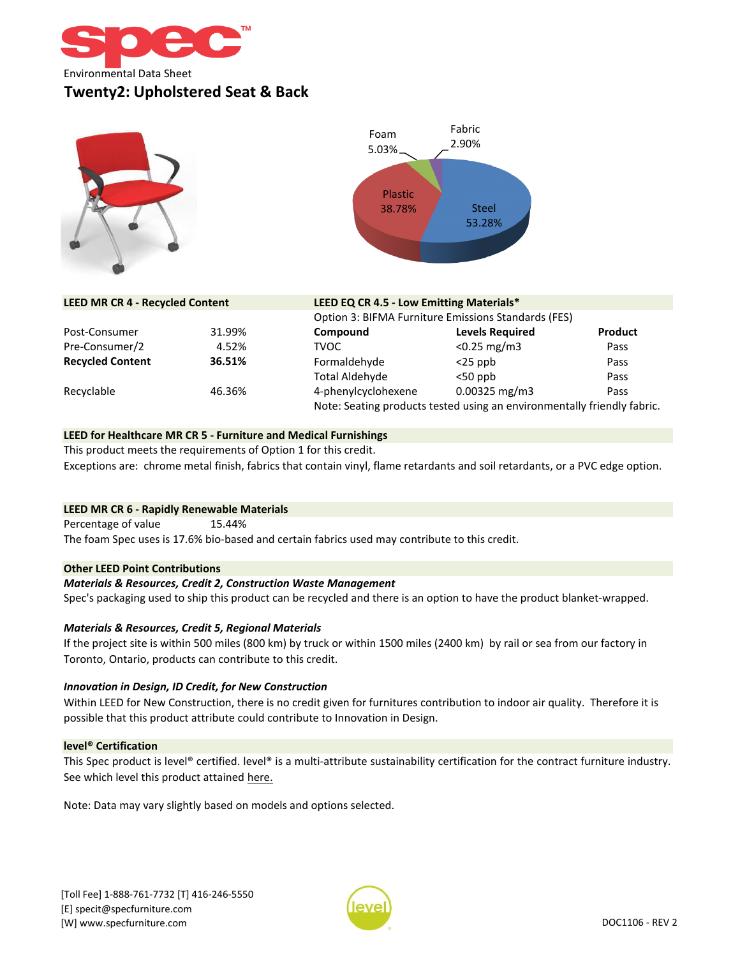





| <b>LEED MR CR 4 - Recycled Content</b> |        | LEED EQ CR 4.5 - Low Emitting Materials*                                |                        |         |  |
|----------------------------------------|--------|-------------------------------------------------------------------------|------------------------|---------|--|
|                                        |        | Option 3: BIFMA Furniture Emissions Standards (FES)                     |                        |         |  |
| Post-Consumer                          | 31.99% | Compound                                                                | <b>Levels Required</b> | Product |  |
| Pre-Consumer/2                         | 4.52%  | <b>TVOC</b>                                                             | $< 0.25$ mg/m3         | Pass    |  |
| <b>Recycled Content</b>                | 36.51% | Formaldehyde                                                            | $<$ 25 ppb             | Pass    |  |
|                                        |        | Total Aldehyde                                                          | $<$ 50 ppb             | Pass    |  |
| Recyclable                             | 46.36% | 4-phenylcyclohexene                                                     | $0.00325$ mg/m3        | Pass    |  |
|                                        |        | Note: Seating products tested using an environmentally friendly fabric. |                        |         |  |

## **LEED for Healthcare MR CR 5 - Furniture and Medical Furnishings**

This product meets the requirements of Option 1 for this credit. Exceptions are: chrome metal finish, fabrics that contain vinyl, flame retardants and soil retardants, or a PVC edge option.

#### **LEED MR CR 6 - Rapidly Renewable Materials**

15.44% The foam Spec uses is 17.6% bio-based and certain fabrics used may contribute to this credit. Percentage of value

## **Other LEED Point Contributions**

#### *Materials & Resources, Credit 2, Construction Waste Management*

Spec's packaging used to ship this product can be recycled and there is an option to have the product blanket-wrapped.

#### *Materials & Resources, Credit 5, Regional Materials*

If the project site is within 500 miles (800 km) by truck or within 1500 miles (2400 km) by rail or sea from our factory in Toronto, Ontario, products can contribute to this credit.

#### *Innovation in Design, ID Credit, for New Construction*

Within LEED for New Construction, there is no credit given for furnitures contribution to indoor air quality. Therefore it is possible that this product attribute could contribute to Innovation in Design.

#### **level® Certification**

[This](https://level.ecomedes.com/?level-level=3&query=Spec%20Furniture&brand-name=Spec%2520Furniture) [Spec](https://level.ecomedes.com/?level-level=3&query=Spec%20Furniture&brand-name=Spec%2520Furniture) [product](https://level.ecomedes.com/?level-level=3&query=Spec%20Furniture&brand-name=Spec%2520Furniture) is [level®](https://level.ecomedes.com/?level-level=3&query=Spec%20Furniture&brand-name=Spec%2520Furniture) [certified.](https://level.ecomedes.com/?level-level=3&query=Spec%20Furniture&brand-name=Spec%2520Furniture) level® is a [multi-attribute](https://level.ecomedes.com/?level-level=3&query=Spec%20Furniture&brand-name=Spec%2520Furniture) sustainability certification for the contract furniture industry. [See which level this product attained h](https://level.ecomedes.com/?level-level=3&query=Spec%20Furniture&brand-name=Spec%2520Furniture)ere.

Note: Data may vary slightly based on models and options selected.